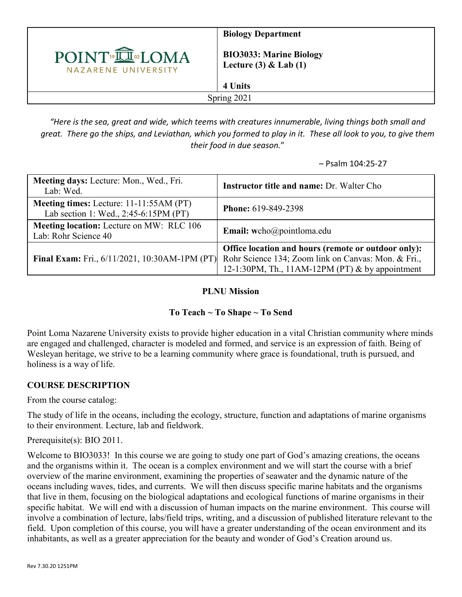

**Biology Department**

**BIO3033: Marine Biology Lecture (3) & Lab (1)**

**4 Units**

Spring 2021

*"Here is the sea, great and wide, which teems with creatures innumerable, living things both small and great. There go the ships, and Leviathan, which you formed to play in it. These all look to you, to give them their food in due season.*"

– Psalm 104:25-27

| Meeting days: Lecture: Mon., Wed., Fri.<br>Lab: Wed.                             | <b>Instructor title and name: Dr. Walter Cho</b>                                                                                                              |
|----------------------------------------------------------------------------------|---------------------------------------------------------------------------------------------------------------------------------------------------------------|
| Meeting times: Lecture: 11-11:55AM (PT)<br>Lab section 1: Wed., 2:45-6:15PM (PT) | Phone: 619-849-2398                                                                                                                                           |
| <b>Meeting location:</b> Lecture on MW: RLC 106<br>Lab: Rohr Science 40          | Email: wcho@pointloma.edu                                                                                                                                     |
| <b>Final Exam:</b> Fri., 6/11/2021, 10:30AM-1PM (PT)                             | Office location and hours (remote or outdoor only):<br>Rohr Science 134; Zoom link on Canvas: Mon. & Fri.,<br>12-1:30PM, Th., 11AM-12PM (PT) & by appointment |

### **PLNU Mission**

# **To Teach ~ To Shape ~ To Send**

Point Loma Nazarene University exists to provide higher education in a vital Christian community where minds are engaged and challenged, character is modeled and formed, and service is an expression of faith. Being of Wesleyan heritage, we strive to be a learning community where grace is foundational, truth is pursued, and holiness is a way of life.

# **COURSE DESCRIPTION**

From the course catalog:

The study of life in the oceans, including the ecology, structure, function and adaptations of marine organisms to their environment. Lecture, lab and fieldwork.

Prerequisite(s): BIO 2011.

Welcome to BIO3033! In this course we are going to study one part of God's amazing creations, the oceans and the organisms within it. The ocean is a complex environment and we will start the course with a brief overview of the marine environment, examining the properties of seawater and the dynamic nature of the oceans including waves, tides, and currents. We will then discuss specific marine habitats and the organisms that live in them, focusing on the biological adaptations and ecological functions of marine organisms in their specific habitat. We will end with a discussion of human impacts on the marine environment. This course will involve a combination of lecture, labs/field trips, writing, and a discussion of published literature relevant to the field. Upon completion of this course, you will have a greater understanding of the ocean environment and its inhabitants, as well as a greater appreciation for the beauty and wonder of God's Creation around us.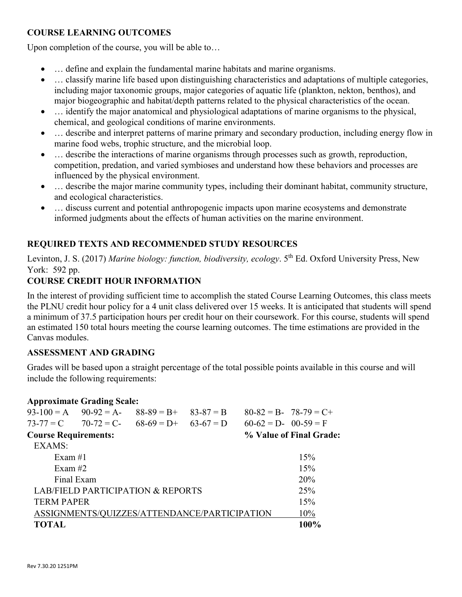## **COURSE LEARNING OUTCOMES**

Upon completion of the course, you will be able to…

- … define and explain the fundamental marine habitats and marine organisms.
- ... classify marine life based upon distinguishing characteristics and adaptations of multiple categories, including major taxonomic groups, major categories of aquatic life (plankton, nekton, benthos), and major biogeographic and habitat/depth patterns related to the physical characteristics of the ocean.
- ... identify the major anatomical and physiological adaptations of marine organisms to the physical, chemical, and geological conditions of marine environments.
- ... describe and interpret patterns of marine primary and secondary production, including energy flow in marine food webs, trophic structure, and the microbial loop.
- ... describe the interactions of marine organisms through processes such as growth, reproduction, competition, predation, and varied symbioses and understand how these behaviors and processes are influenced by the physical environment.
- … describe the major marine community types, including their dominant habitat, community structure, and ecological characteristics.
- ... discuss current and potential anthropogenic impacts upon marine ecosystems and demonstrate informed judgments about the effects of human activities on the marine environment.

## **REQUIRED TEXTS AND RECOMMENDED STUDY RESOURCES**

Levinton, J. S. (2017) *Marine biology: function, biodiversity, ecology*. 5<sup>th</sup> Ed. Oxford University Press, New York: 592 pp.

## **COURSE CREDIT HOUR INFORMATION**

In the interest of providing sufficient time to accomplish the stated Course Learning Outcomes, this class meets the PLNU credit hour policy for a 4 unit class delivered over 15 weeks. It is anticipated that students will spend a minimum of 37.5 participation hours per credit hour on their coursework. For this course, students will spend an estimated 150 total hours meeting the course learning outcomes. The time estimations are provided in the Canvas modules.

#### **ASSESSMENT AND GRADING**

Grades will be based upon a straight percentage of the total possible points available in this course and will include the following requirements:

#### **Approximate Grading Scale:**

|                                              | $93-100 = A$ $90-92 = A$ | $88-89 = B+$ | $83 - 87 = B$ |                         | $80-82 = B - 78-79 = C +$ |
|----------------------------------------------|--------------------------|--------------|---------------|-------------------------|---------------------------|
|                                              | $73-77 = C$ 70-72 = C-   | $68-69 = D+$ | $63-67 = D$   | $60-62 = D - 00-59 = F$ |                           |
| <b>Course Requirements:</b>                  |                          |              |               |                         | % Value of Final Grade:   |
| EXAMS:                                       |                          |              |               |                         |                           |
| Exam $#1$                                    |                          |              |               |                         | 15%                       |
| Exam $#2$                                    |                          |              |               |                         | 15%                       |
|                                              | Final Exam               |              |               |                         | 20%                       |
| <b>LAB/FIELD PARTICIPATION &amp; REPORTS</b> |                          |              |               |                         | 25%                       |
| <b>TERM PAPER</b>                            |                          |              |               |                         | 15%                       |
| ASSIGNMENTS/QUIZZES/ATTENDANCE/PARTICIPATION |                          |              |               |                         | 10%                       |
| <b>TOTAL</b>                                 |                          |              |               |                         | 100%                      |
|                                              |                          |              |               |                         |                           |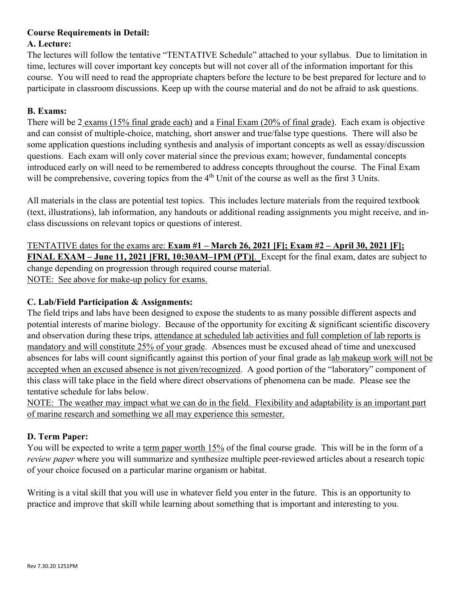#### **Course Requirements in Detail: A. Lecture:**

The lectures will follow the tentative "TENTATIVE Schedule" attached to your syllabus. Due to limitation in time, lectures will cover important key concepts but will not cover all of the information important for this course. You will need to read the appropriate chapters before the lecture to be best prepared for lecture and to participate in classroom discussions. Keep up with the course material and do not be afraid to ask questions.

# **B. Exams:**

There will be 2 exams (15% final grade each) and a Final Exam (20% of final grade). Each exam is objective and can consist of multiple-choice, matching, short answer and true/false type questions. There will also be some application questions including synthesis and analysis of important concepts as well as essay/discussion questions. Each exam will only cover material since the previous exam; however, fundamental concepts introduced early on will need to be remembered to address concepts throughout the course. The Final Exam will be comprehensive, covering topics from the 4<sup>th</sup> Unit of the course as well as the first 3 Units.

All materials in the class are potential test topics. This includes lecture materials from the required textbook (text, illustrations), lab information, any handouts or additional reading assignments you might receive, and inclass discussions on relevant topics or questions of interest.

TENTATIVE dates for the exams are: **Exam #1 – March 26, 2021 [F]; Exam #2 – April 30, 2021 [F]; FINAL EXAM – June 11, 2021 [FRI, 10:30AM–1PM (PT)]**. Except for the final exam, dates are subject to change depending on progression through required course material. NOTE: See above for make-up policy for exams.

# **C. Lab/Field Participation & Assignments:**

The field trips and labs have been designed to expose the students to as many possible different aspects and potential interests of marine biology. Because of the opportunity for exciting & significant scientific discovery and observation during these trips, attendance at scheduled lab activities and full completion of lab reports is mandatory and will constitute 25% of your grade. Absences must be excused ahead of time and unexcused absences for labs will count significantly against this portion of your final grade as lab makeup work will not be accepted when an excused absence is not given/recognized. A good portion of the "laboratory" component of this class will take place in the field where direct observations of phenomena can be made. Please see the tentative schedule for labs below.

NOTE: The weather may impact what we can do in the field. Flexibility and adaptability is an important part of marine research and something we all may experience this semester.

# **D. Term Paper:**

You will be expected to write a term paper worth 15% of the final course grade. This will be in the form of a *review paper* where you will summarize and synthesize multiple peer-reviewed articles about a research topic of your choice focused on a particular marine organism or habitat.

Writing is a vital skill that you will use in whatever field you enter in the future. This is an opportunity to practice and improve that skill while learning about something that is important and interesting to you.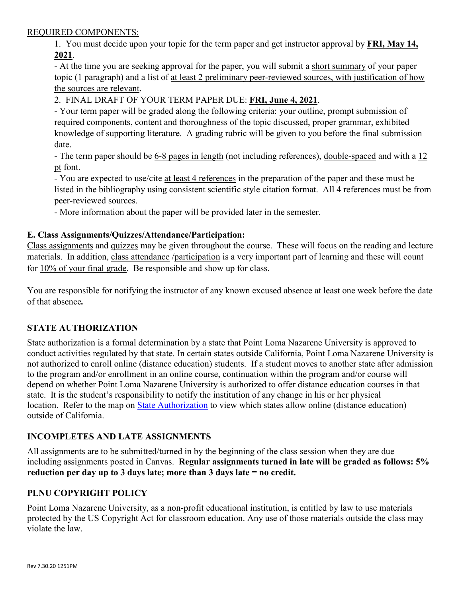#### REQUIRED COMPONENTS:

1. You must decide upon your topic for the term paper and get instructor approval by **FRI, May 14, 2021**.

- At the time you are seeking approval for the paper, you will submit a short summary of your paper topic (1 paragraph) and a list of at least 2 preliminary peer-reviewed sources, with justification of how the sources are relevant.

2. FINAL DRAFT OF YOUR TERM PAPER DUE: **FRI, June 4, 2021**.

- Your term paper will be graded along the following criteria: your outline, prompt submission of required components, content and thoroughness of the topic discussed, proper grammar, exhibited knowledge of supporting literature. A grading rubric will be given to you before the final submission date.

- The term paper should be 6-8 pages in length (not including references), double-spaced and with a 12 pt font.

- You are expected to use/cite at least 4 references in the preparation of the paper and these must be listed in the bibliography using consistent scientific style citation format. All 4 references must be from peer-reviewed sources.

- More information about the paper will be provided later in the semester.

#### **E. Class Assignments/Quizzes/Attendance/Participation:**

Class assignments and quizzes may be given throughout the course. These will focus on the reading and lecture materials. In addition, class attendance /participation is a very important part of learning and these will count for 10% of your final grade. Be responsible and show up for class.

You are responsible for notifying the instructor of any known excused absence at least one week before the date of that absence*.*

### **STATE AUTHORIZATION**

State authorization is a formal determination by a state that Point Loma Nazarene University is approved to conduct activities regulated by that state. In certain states outside California, Point Loma Nazarene University is not authorized to enroll online (distance education) students. If a student moves to another state after admission to the program and/or enrollment in an online course, continuation within the program and/or course will depend on whether Point Loma Nazarene University is authorized to offer distance education courses in that state. It is the student's responsibility to notify the institution of any change in his or her physical location. Refer to the map on **State Authorization** to view which states allow online (distance education) outside of California.

### **INCOMPLETES AND LATE ASSIGNMENTS**

All assignments are to be submitted/turned in by the beginning of the class session when they are due including assignments posted in Canvas. **Regular assignments turned in late will be graded as follows: 5% reduction per day up to 3 days late; more than 3 days late = no credit.**

### **PLNU COPYRIGHT POLICY**

Point Loma Nazarene University, as a non-profit educational institution, is entitled by law to use materials protected by the US Copyright Act for classroom education. Any use of those materials outside the class may violate the law.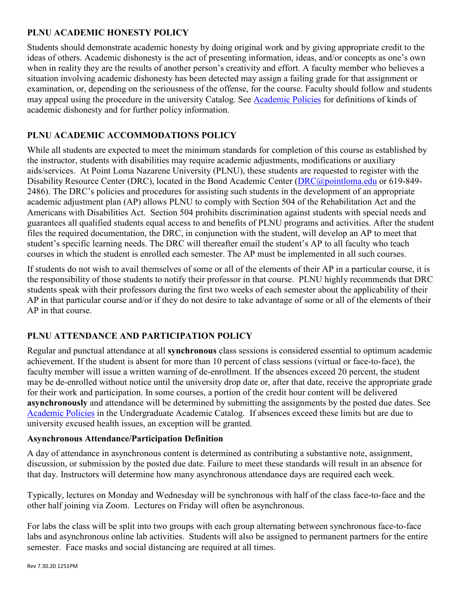## **PLNU ACADEMIC HONESTY POLICY**

Students should demonstrate academic honesty by doing original work and by giving appropriate credit to the ideas of others. Academic dishonesty is the act of presenting information, ideas, and/or concepts as one's own when in reality they are the results of another person's creativity and effort. A faculty member who believes a situation involving academic dishonesty has been detected may assign a failing grade for that assignment or examination, or, depending on the seriousness of the offense, for the course. Faculty should follow and students may appeal using the procedure in the university Catalog. See [Academic Policies](https://catalog.pointloma.edu/content.php?catoid=41&navoid=2435#Academic_Honesty) for definitions of kinds of academic dishonesty and for further policy information.

# **PLNU ACADEMIC ACCOMMODATIONS POLICY**

While all students are expected to meet the minimum standards for completion of this course as established by the instructor, students with disabilities may require academic adjustments, modifications or auxiliary aids/services. At Point Loma Nazarene University (PLNU), these students are requested to register with the Disability Resource Center (DRC), located in the Bond Academic Center [\(DRC@pointloma.edu](mailto:DRC@pointloma.edu) or 619-849-2486). The DRC's policies and procedures for assisting such students in the development of an appropriate academic adjustment plan (AP) allows PLNU to comply with Section 504 of the Rehabilitation Act and the Americans with Disabilities Act. Section 504 prohibits discrimination against students with special needs and guarantees all qualified students equal access to and benefits of PLNU programs and activities. After the student files the required documentation, the DRC, in conjunction with the student, will develop an AP to meet that student's specific learning needs. The DRC will thereafter email the student's AP to all faculty who teach courses in which the student is enrolled each semester. The AP must be implemented in all such courses.

If students do not wish to avail themselves of some or all of the elements of their AP in a particular course, it is the responsibility of those students to notify their professor in that course. PLNU highly recommends that DRC students speak with their professors during the first two weeks of each semester about the applicability of their AP in that particular course and/or if they do not desire to take advantage of some or all of the elements of their AP in that course.

# **PLNU ATTENDANCE AND PARTICIPATION POLICY**

Regular and punctual attendance at all **synchronous** class sessions is considered essential to optimum academic achievement. If the student is absent for more than 10 percent of class sessions (virtual or face-to-face), the faculty member will issue a written warning of de-enrollment. If the absences exceed 20 percent, the student may be de-enrolled without notice until the university drop date or, after that date, receive the appropriate grade for their work and participation. In some courses, a portion of the credit hour content will be delivered **asynchronously** and attendance will be determined by submitting the assignments by the posted due dates. See [Academic Policies](https://catalog.pointloma.edu/content.php?catoid=46&navoid=2650#Class_Attendance) in the Undergraduate Academic Catalog. If absences exceed these limits but are due to university excused health issues, an exception will be granted.

### **Asynchronous Attendance/Participation Definition**

A day of attendance in asynchronous content is determined as contributing a substantive note, assignment, discussion, or submission by the posted due date. Failure to meet these standards will result in an absence for that day. Instructors will determine how many asynchronous attendance days are required each week.

Typically, lectures on Monday and Wednesday will be synchronous with half of the class face-to-face and the other half joining via Zoom. Lectures on Friday will often be asynchronous.

For labs the class will be split into two groups with each group alternating between synchronous face-to-face labs and asynchronous online lab activities. Students will also be assigned to permanent partners for the entire semester. Face masks and social distancing are required at all times.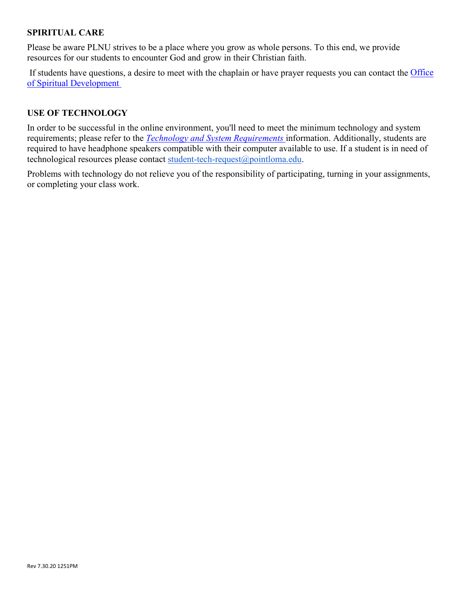### **SPIRITUAL CARE**

Please be aware PLNU strives to be a place where you grow as whole persons. To this end, we provide resources for our students to encounter God and grow in their Christian faith.

If students have questions, a desire to meet with the chaplain or have prayer requests you can contact the Office [of Spiritual Development](https://www.pointloma.edu/offices/spiritual-development)

#### **USE OF TECHNOLOGY**

In order to be successful in the online environment, you'll need to meet the minimum technology and system requirements; please refer to the *[Technology and System Requirements](https://help.pointloma.edu/TDClient/1808/Portal/KB/ArticleDet?ID=108349)* information. Additionally, students are required to have headphone speakers compatible with their computer available to use. If a student is in need of technological resources please contact [student-tech-request@pointloma.edu.](mailto:student-tech-request@pointloma.edu)

Problems with technology do not relieve you of the responsibility of participating, turning in your assignments, or completing your class work.